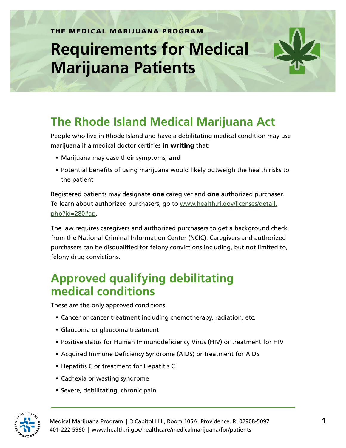## **Requirements for Medical Marijuana Patients**



People who live in Rhode Island and have a debilitating medical condition may use marijuana if a medical doctor certifies in writing that:

- Marijuana may ease their symptoms, and
- Potential benefits of using marijuana would likely outweigh the health risks to the patient

Registered patients may designate **one** caregiver and **one** [authorized purchaser.](http://www.health.ri.gov/licenses/detail.php?id=280#ap) To learn about authorized purchasers, go to [www.health.ri.gov/licenses/detail.](http://www.health.ri.gov/licenses/detail.php?id=280#ap) [php?id=280#ap](http://www.health.ri.gov/licenses/detail.php?id=280#ap).

The law requires caregivers and authorized purchasers to get a background check from the National Criminal Information Center (NCIC). Caregivers and authorized purchasers can be disqualified for felony convictions including, but not limited to, felony drug convictions.

## **Approved qualifying debilitating medical conditions**

These are the only approved conditions:

- Cancer or cancer treatment including chemotherapy, radiation, etc.
- Glaucoma or glaucoma treatment
- Positive status for Human Immunodeficiency Virus (HIV) or treatment for HIV
- Acquired Immune Deficiency Syndrome (AIDS) or treatment for AIDS
- **Hepatitis C or treatment for Hepatitis C**
- Cachexia or wasting syndrome
- Severe, debilitating, chronic pain



Medical Marijuana Program | 3 Capitol Hill, Room 105A, Providence, RI 02908-5097 **1** 401-222-5960 | www.health.ri.gov/healthcare/medicalmarijuana/for/patients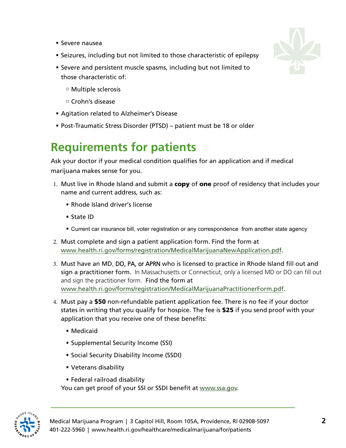- Severe nausea
- Seizures, including but not limited to those characteristic of epilepsy
- Severe and persistent muscle spasms, including but not limited to those characteristic of:
	- Multiple sclerosis
	- $\Box$  Crohn's disease
- Agitation related to Alzheimer's Disease
- Post-Traumatic Stress Disorder (PTSD) patient must be 18 or older

## **Requirements for patients**

Ask your doctor if your medical condition qualifies for an application and if medical marijuana makes sense for you.

- 1. Must live in Rhode Island and submit a copy of one proof of residency that includes your name and current address, such as:
	- Rhode Island driver's license
	- State ID
	- **EXECUTE:** Current car insurance bill, voter registration or any correspondence from another state agency
- 2. Must complete and sign a patient application form. Find the form at [www.health.ri.gov/forms/registration/MedicalMarijuanaNewApplication.pdf](http://www.health.ri.gov/forms/registration/MedicalMarijuanaNewApplication.pdf).
- 3. Must have an MD, DO, PA, or APRN who is licensed to practice in Rhode Island fill out and sign a [practitioner form.](http://www.health.ri.gov/forms/registration/MedicalMarijuanaPractitionerForm.pdf) In Massachusetts or Connecticut, only a licensed MD or DO can fill out and sign the practitioner form. Find the form at [www.health.ri.gov/forms/registration/MedicalMarijuanaPractitionerForm.pdf](http://www.health.ri.gov/forms/registration/MedicalMarijuanaPractitionerForm.pdf).
- 4. Must pay a \$50 non-refundable patient application fee. There is no fee if your doctor states in writing that you qualify for hospice. The fee is \$25 if you send proof with your application that you receive one of these benefits:
	- Medicaid
	- Supplemental Security Income (SSI)
	- **Social Security Disability Income (SSDI)**
	- Veterans disability
	- Federal railroad disability

You can get proof of your SSI or SSDI benefit at [www.ssa.gov.](http://www.ssa.gov)